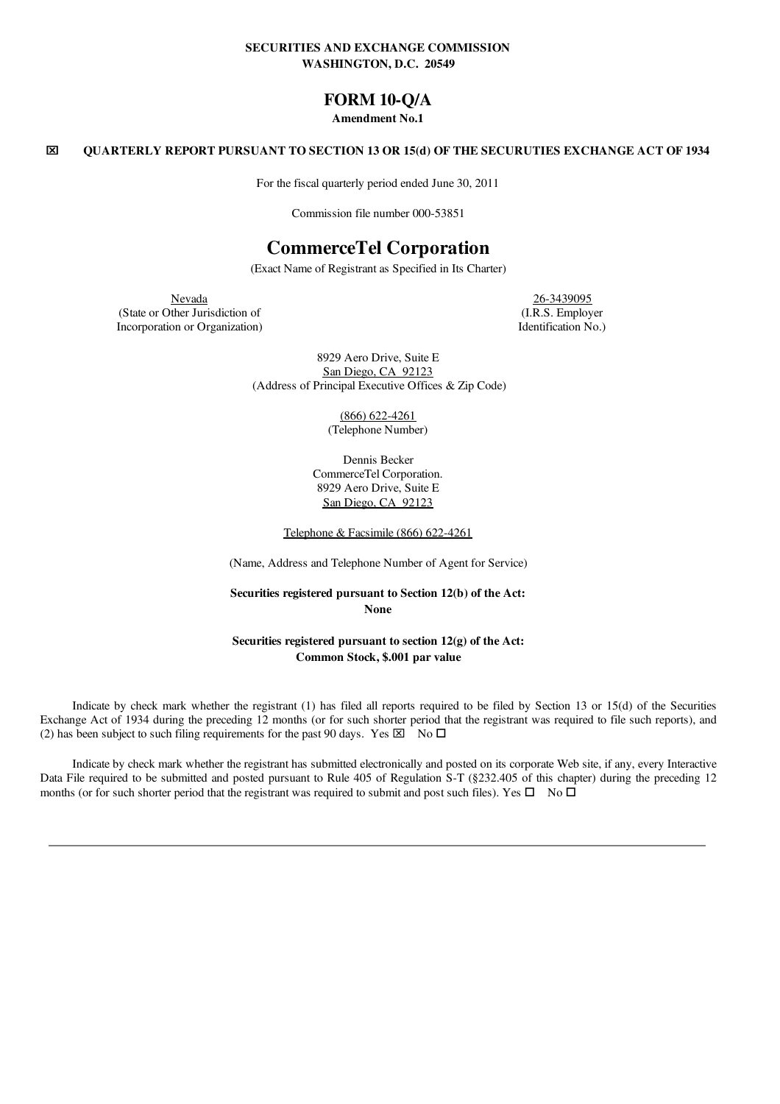### SECURITIES AND EXCHANGE COMMISSION WASHINGTON, D.C. 20549

## FORM 10-Q/A

### Amendment No.1

### x QUARTERLY REPORT PURSUANT TO SECTION 13 OR 15(d) OF THE SECURUTIES EXCHANGE ACT OF 1934

For the fiscal quarterly period ended June 30, 2011

Commission file number 000-53851

# CommerceTel Corporation

(Exact Name of Registrant as Specified in Its Charter)

Nevada 26-3439095 (State or Other Jurisdiction of (I.R.S. Employer Incorporation or Organization  $\alpha$ .

8929 Aero Drive, Suite E San Diego, CA 92123 (Address of Principal Executive Offices & Zip Code)

> (866) 622-4261 (Telephone Number)

Dennis Becker CommerceTel Corporation. 8929 Aero Drive, Suite E San Diego, CA 92123

Telephone & Facsimile (866) 622-4261

(Name, Address and Telephone Number of Agent for Service)

Securities registered pursuant to Section 12(b) of the Act: None

Securities registered pursuant to section 12(g) of the Act: Common Stock, \$.001 par value

Indicate by check mark whether the registrant (1) has filed all reports required to be filed by Section 13 or 15(d) of the Securities Exchange Act of 1934 during the preceding 12 months (or for such shorter period that the registrant was required to file such reports), and (2) has been subject to such filing requirements for the past 90 days. Yes  $\boxtimes$  No  $\square$ 

Indicate by check mark whether the registrant has submitted electronically and posted on its corporate Web site, if any, every Interactive Data File required to be submitted and posted pursuant to Rule 405 of Regulation S-T (§232.405 of this chapter) during the preceding 12 months (or for such shorter period that the registrant was required to submit and post such files). Yes  $\Box$  No  $\Box$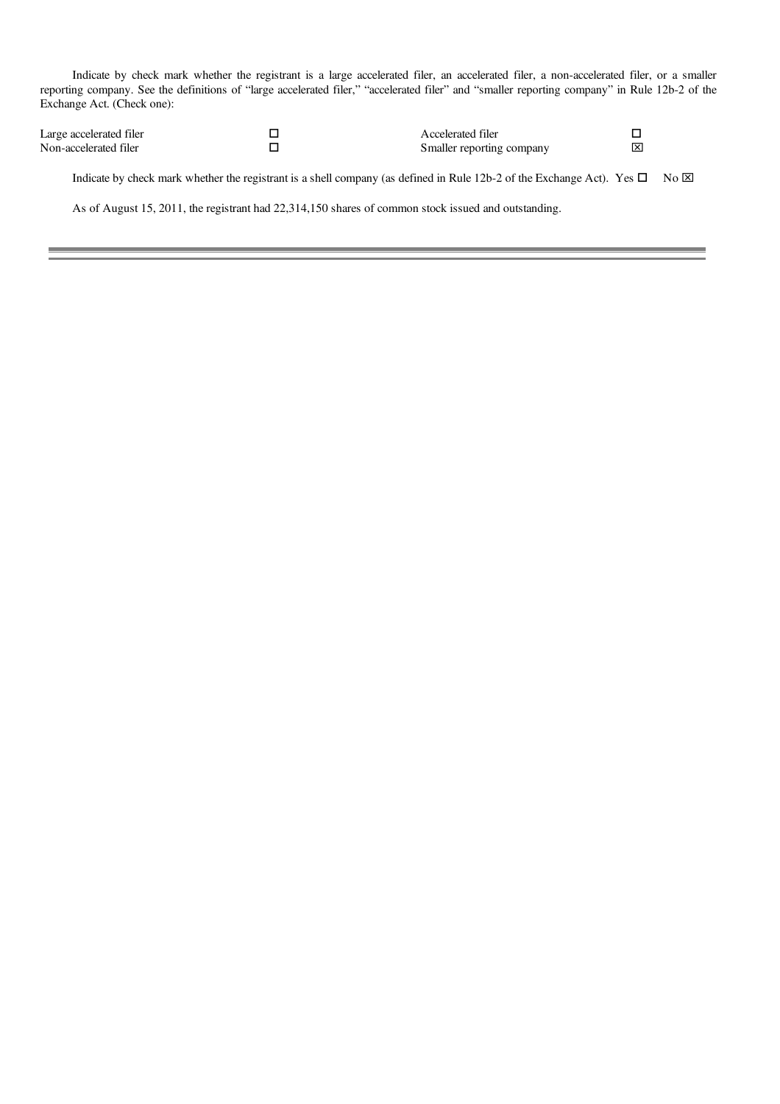Indicate by check mark whether the registrant is a large accelerated filer, an accelerated filer, a non-accelerated filer, or a smaller reporting company. See the definitions of "large accelerated filer," "accelerated filer" and "smaller reporting company" in Rule 12b-2 of the Exchange Act. (Check one):

| Large accelerated filer | Accelerated filer         |  |
|-------------------------|---------------------------|--|
| Non-accelerated filer   | Smaller reporting company |  |

Indicate by check mark whether the registrant is a shell company (as defined in Rule 12b-2 of the Exchange Act). Yes  $\Box$  No  $\boxtimes$ 

As of August 15, 2011, the registrant had 22,314,150 shares of common stock issued and outstanding.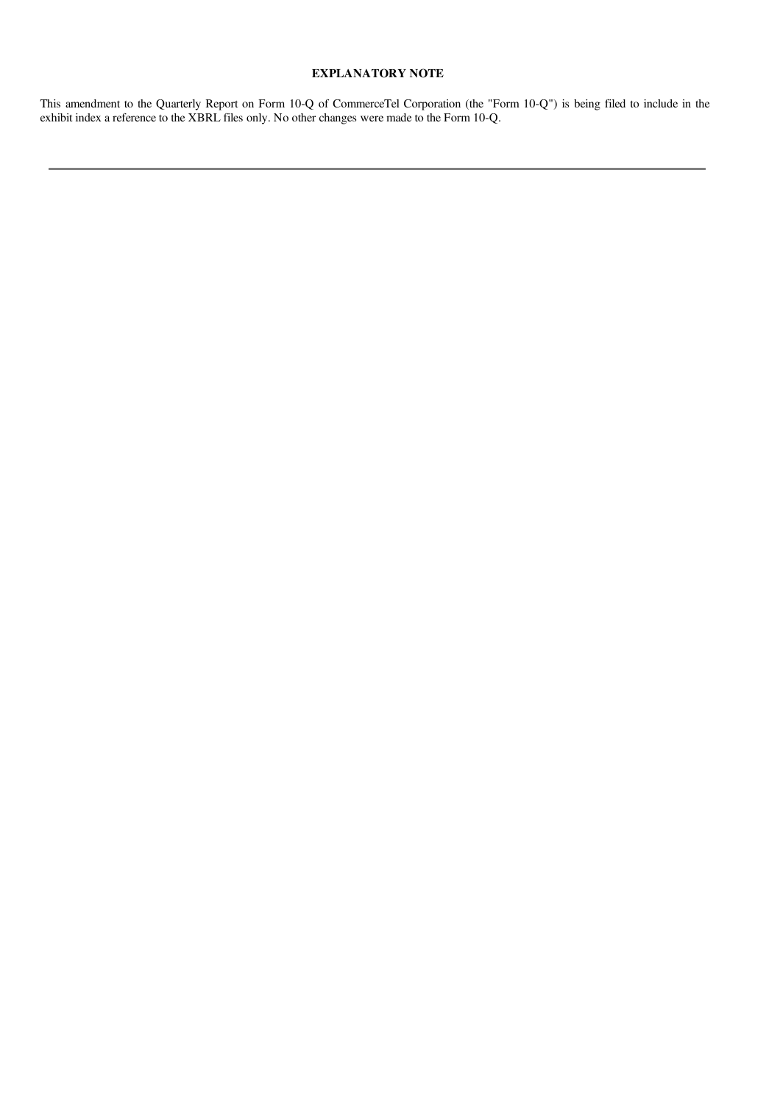## EXPLANATORY NOTE

This amendment to the Quarterly Report on Form 10-Q of CommerceTel Corporation (the "Form 10-Q") is being filed to include in the exhibit index a reference to the XBRL files only. No other changes were made to the Form 10-Q.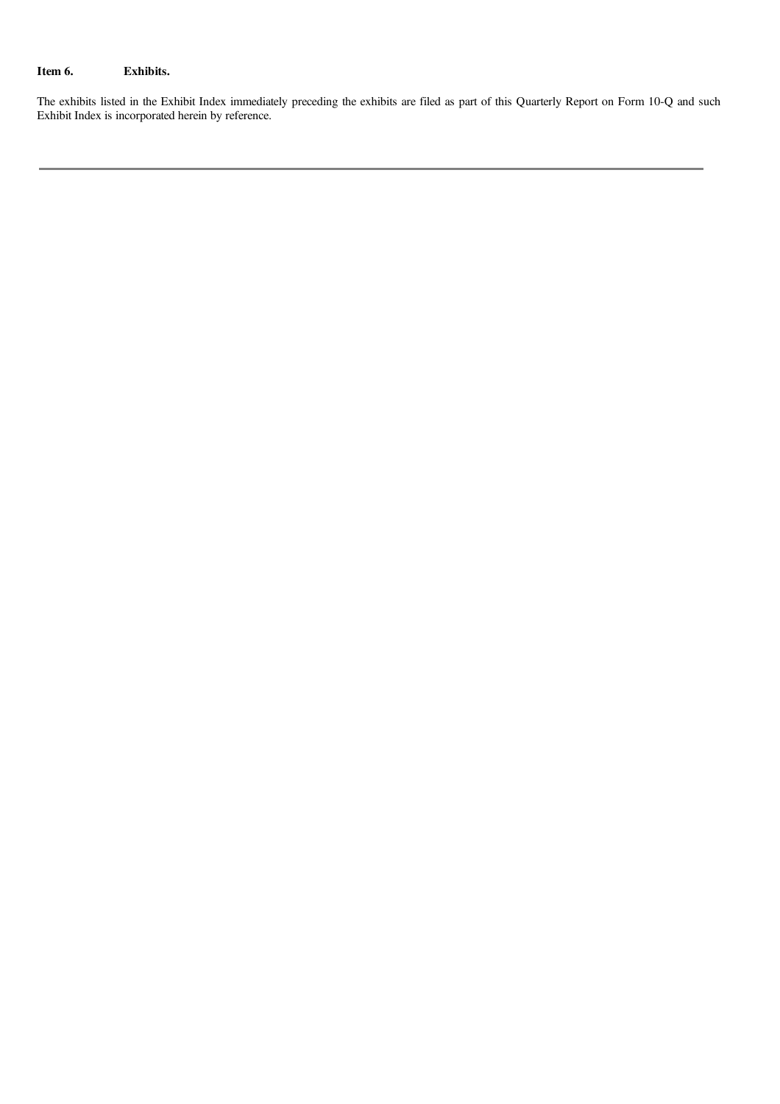## Item 6. Exhibits.

The exhibits listed in the Exhibit Index immediately preceding the exhibits are filed as part of this Quarterly Report on Form 10-Q and such Exhibit Index is incorporated herein by reference.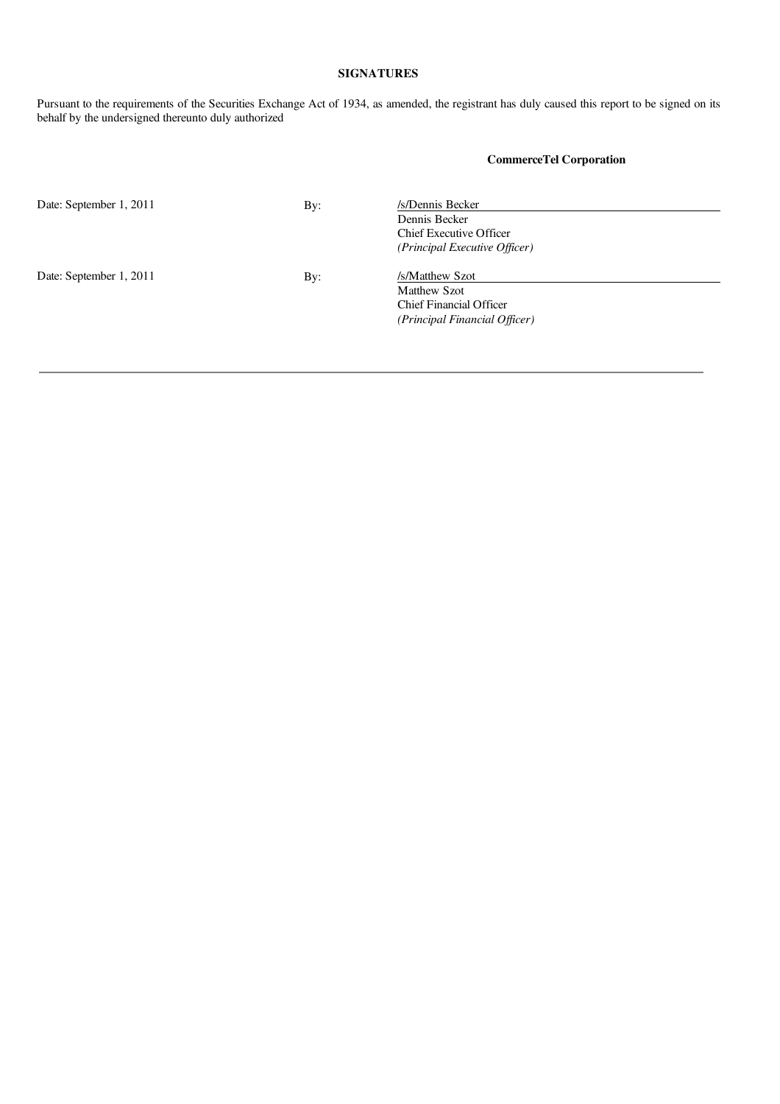## SIGNATURES

Pursuant to the requirements of the Securities Exchange Act of 1934, as amended, the registrant has duly caused this report to be signed on its behalf by the undersigned thereunto duly authorized

CommerceTel Corporation

| Date: September 1, 2011 | By: | /s/Dennis Becker               |  |
|-------------------------|-----|--------------------------------|--|
|                         |     | Dennis Becker                  |  |
|                         |     | <b>Chief Executive Officer</b> |  |
|                         |     | (Principal Executive Officer)  |  |
| Date: September 1, 2011 | By: | /s/Matthew Szot                |  |
|                         |     | Matthew Szot                   |  |
|                         |     | Chief Financial Officer        |  |
|                         |     | (Principal Financial Officer)  |  |
|                         |     |                                |  |
|                         |     |                                |  |